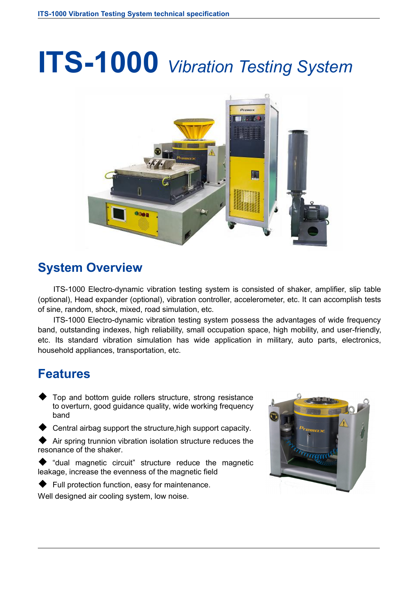# **ITS-1000** *Vibration Testing System*



#### **System Overview**

ITS-1000 Electro-dynamic vibration testing system is consisted of shaker, amplifier, slip table (optional), Head expander (optional), vibration controller, accelerometer, etc. It can accomplish tests of sine, random, shock, mixed, road simulation, etc.

ITS-1000 Electro-dynamic vibration testing system possess the advantages of wide frequency band, outstanding indexes, high reliability, small occupation space, high mobility, and user-friendly, etc. Its standard vibration simulation has wide application in military, auto parts, electronics, household appliances, transportation, etc.

#### **Features**

- Top and bottom guide rollers structure, strong resistance to overturn, good guidance quality, wide working frequency band
- Central airbag support the structure,high support capacity.
- $\blacklozenge$  Air spring trunnion vibration isolation structure reduces the resonance of the shaker.
- "dual magnetic circuit" structure reduce the magnetic leakage, increase the evenness of the magnetic field
- ◆ Full protection function, easy for maintenance.



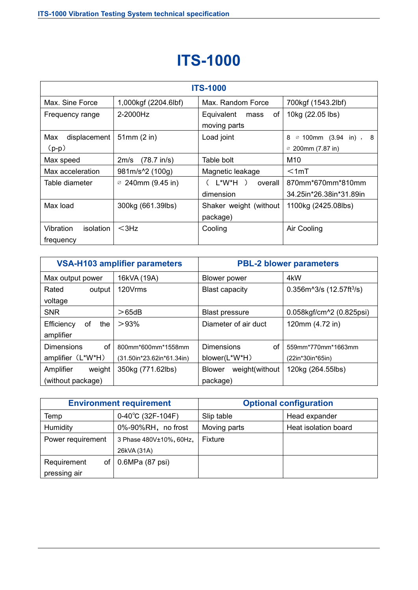### **ITS-1000**

| <b>ITS-1000</b>                     |                               |                                          |                                                                |  |
|-------------------------------------|-------------------------------|------------------------------------------|----------------------------------------------------------------|--|
| Max. Sine Force                     | 1,000kgf (2204.6lbf)          | Max. Random Force                        | 700kgf (1543.2lbf)                                             |  |
| Frequency range                     | 2-2000Hz                      | Equivalent<br>0f<br>mass<br>moving parts | 10kg (22.05 lbs)                                               |  |
| displacement<br>Max<br>$(p-p)$      | 51mm(2 in)                    | Load joint                               | $\varnothing$ 100mm (3.94 in), 8<br>8<br>$\in$ 200mm (7.87 in) |  |
| Max speed                           | $(78.7 \text{ in/s})$<br>2m/s | Table bolt                               | M10                                                            |  |
| Max acceleration                    | 981m/s <sup>1</sup> 2 (100g)  | Magnetic leakage                         | $<$ 1mT                                                        |  |
| Table diameter                      | $\varnothing$ 240mm (9.45 in) | $L^*W^*H$ )<br>overall<br>dimension      | 870mm*670mm*810mm<br>34.25in*26.38in*31.89in                   |  |
| Max load                            | 300kg (661.39lbs)             | Shaker weight (without<br>package)       | 1100kg (2425.08lbs)                                            |  |
| Vibration<br>isolation<br>frequency | $<$ 3Hz                       | Cooling                                  | Air Cooling                                                    |  |

| <b>VSA-H103 amplifier parameters</b> |                           | <b>PBL-2 blower parameters</b>  |                                          |
|--------------------------------------|---------------------------|---------------------------------|------------------------------------------|
| Max output power                     | 16kVA (19A)               | Blower power                    | 4kW                                      |
| Rated<br>output                      | 120Vrms                   | <b>Blast capacity</b>           | $0.356m^{3}/s$ (12.57ft <sup>3</sup> /s) |
| voltage                              |                           |                                 |                                          |
| <b>SNR</b>                           | $>65$ dB                  | <b>Blast pressure</b>           | 0.058kgf/cm^2 (0.825psi)                 |
| Efficiency<br>0f                     | >93%<br>the               | Diameter of air duct            | 120mm (4.72 in)                          |
| amplifier                            |                           |                                 |                                          |
| <b>Dimensions</b>                    | 0f<br>800mm*600mm*1558mm  | <b>Dimensions</b><br>οf         | 559mm*770mm*1663mm                       |
| amplifier (L*W*H)                    | (31.50in*23.62in*61.34in) | blower(L*W*H)                   | (22in*30in*65in)                         |
| weight<br>Amplifier                  | 350kg (771.62lbs)         | weight(without<br><b>Blower</b> | 120kg (264.55lbs)                        |
| (without package)                    |                           | package)                        |                                          |

| <b>Environment requirement</b> |                             | <b>Optional configuration</b> |                      |
|--------------------------------|-----------------------------|-------------------------------|----------------------|
| Temp                           | $0-40^{\circ}$ C (32F-104F) | Slip table                    | Head expander        |
| Humidity                       | 0%-90%RH, no frost          | Moving parts                  | Heat isolation board |
| Power requirement              | 3 Phase 480V±10%, 60Hz,     | Fixture                       |                      |
|                                | 26kVA (31A)                 |                               |                      |
| Requirement<br>of              | 0.6MPa (87 psi)             |                               |                      |
| pressing air                   |                             |                               |                      |